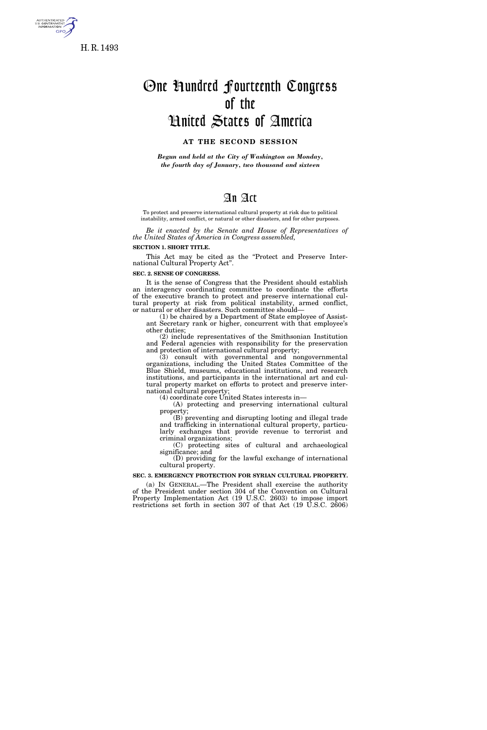

5. GOVERNMI<br>INFORMATIO **GPO** 

# One Hundred Fourteenth Congress of the United States of America

#### **AT THE SECOND SESSION**

*Begun and held at the City of Washington on Monday, the fourth day of January, two thousand and sixteen* 

# An Act

To protect and preserve international cultural property at risk due to political instability, armed conflict, or natural or other disasters, and for other purposes.

*Be it enacted by the Senate and House of Representatives of the United States of America in Congress assembled,* 

## **SECTION 1. SHORT TITLE.**

This Act may be cited as the ''Protect and Preserve International Cultural Property Act''.

**SEC. 2. SENSE OF CONGRESS.** 

It is the sense of Congress that the President should establish an interagency coordinating committee to coordinate the efforts of the executive branch to protect and preserve international cultural property at risk from political instability, armed conflict, or natural or other disasters. Such committee should—

(1) be chaired by a Department of State employee of Assistant Secretary rank or higher, concurrent with that employee's other duties;

(2) include representatives of the Smithsonian Institution and Federal agencies with responsibility for the preservation and protection of international cultural property;

(3) consult with governmental and nongovernmental organizations, including the United States Committee of the Blue Shield, museums, educational institutions, and research institutions, and participants in the international art and cultural property market on efforts to protect and preserve international cultural property;

(4) coordinate core United States interests in—

(A) protecting and preserving international cultural property;

(B) preventing and disrupting looting and illegal trade and trafficking in international cultural property, particularly exchanges that provide revenue to terrorist and criminal organizations;

(C) protecting sites of cultural and archaeological significance; and

(D) providing for the lawful exchange of international cultural property.

#### **SEC. 3. EMERGENCY PROTECTION FOR SYRIAN CULTURAL PROPERTY.**

(a) IN GENERAL.—The President shall exercise the authority of the President under section 304 of the Convention on Cultural Property Implementation Act (19 U.S.C. 2603) to impose import restrictions set forth in section 307 of that Act (19 U.S.C. 2606)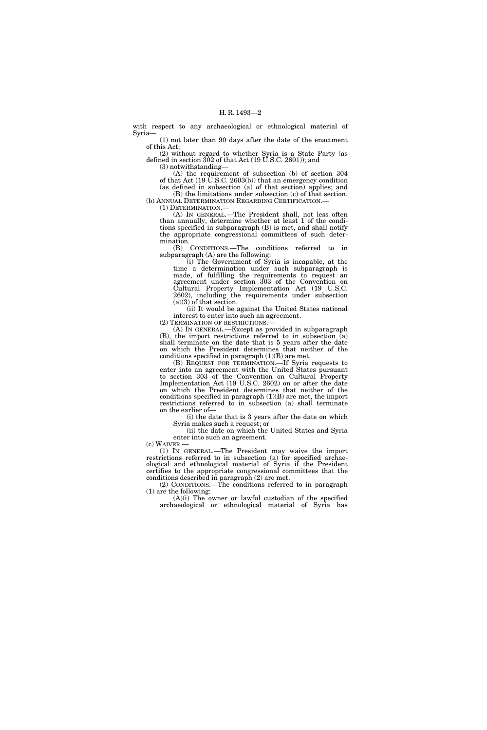with respect to any archaeological or ethnological material of Syria—

(1) not later than 90 days after the date of the enactment of this Act;

(2) without regard to whether Syria is a State Party (as defined in section 302 of that Act (19 U.S.C. 2601)); and (3) notwithstanding—

(A) the requirement of subsection (b) of section 304 of that Act  $(19 \text{ U.S.C. } 2603(b))$  that an emergency condition

(as defined in subsection (a) of that section) applies; and (B) the limitations under subsection (c) of that section. (b) ANNUAL DETERMINATION REGARDING CERTIFICATION.

(1) DETERMINATION.—

(A) IN GENERAL.—The President shall, not less often than annually, determine whether at least 1 of the conditions specified in subparagraph (B) is met, and shall notify the appropriate congressional committees of such determination.

(B) CONDITIONS.—The conditions referred to in subparagraph (A) are the following:

(i) The Government of Syria is incapable, at the time a determination under such subparagraph is made, of fulfilling the requirements to request an agreement under section 303 of the Convention on Cultural Property Implementation Act (19 U.S.C. 2602), including the requirements under subsection (a)(3) of that section.

(ii) It would be against the United States national interest to enter into such an agreement.

(2) TERMINATION OF RESTRICTIONS.— (A) IN GENERAL.—Except as provided in subparagraph (B), the import restrictions referred to in subsection (a) shall terminate on the date that is 5 years after the date on which the President determines that neither of the

conditions specified in paragraph  $(1)(B)$  are met. (B) REQUEST FOR TERMINATION.—If Syria requests to enter into an agreement with the United States pursuant to section 303 of the Convention on Cultural Property Implementation Act (19 U.S.C. 2602) on or after the date on which the President determines that neither of the conditions specified in paragraph  $(1)(B)$  are met, the import

restrictions referred to in subsection (a) shall terminate on the earlier of—

(i) the date that is 3 years after the date on which Syria makes such a request; or

(ii) the date on which the United States and Syria enter into such an agreement.<br>(c) WAIVER.—

(1) IN GENERAL.—The President may waive the import restrictions referred to in subsection (a) for specified archaeological and ethnological material of Syria if the President certifies to the appropriate congressional committees that the conditions described in paragraph (2) are met.

(2) CONDITIONS.—The conditions referred to in paragraph (1) are the following:

(A)(i) The owner or lawful custodian of the specified archaeological or ethnological material of Syria has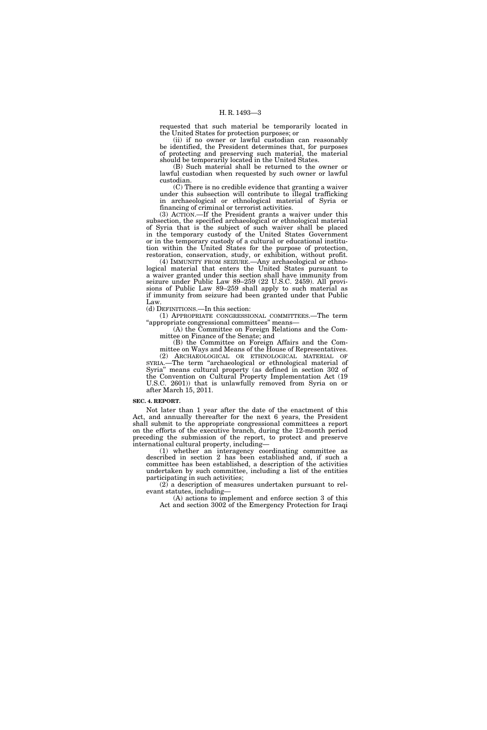requested that such material be temporarily located in the United States for protection purposes; or

(ii) if no owner or lawful custodian can reasonably be identified, the President determines that, for purposes of protecting and preserving such material, the material should be temporarily located in the United States.

(B) Such material shall be returned to the owner or lawful custodian when requested by such owner or lawful custodian.

(C) There is no credible evidence that granting a waiver under this subsection will contribute to illegal trafficking in archaeological or ethnological material of Syria or financing of criminal or terrorist activities.

(3) ACTION.—If the President grants a waiver under this subsection, the specified archaeological or ethnological material of Syria that is the subject of such waiver shall be placed in the temporary custody of the United States Government or in the temporary custody of a cultural or educational institution within the United States for the purpose of protection, restoration, conservation, study, or exhibition, without profit.

(4) IMMUNITY FROM SEIZURE.—Any archaeological or ethnological material that enters the United States pursuant to a waiver granted under this section shall have immunity from seizure under Public Law 89–259 (22 U.S.C. 2459). All provisions of Public Law 89–259 shall apply to such material as if immunity from seizure had been granted under that Public Law.

(d) DEFINITIONS.—In this section:

(1) APPROPRIATE CONGRESSIONAL COMMITTEES.—The term ''appropriate congressional committees'' means—

(A) the Committee on Foreign Relations and the Committee on Finance of the Senate; and

(B) the Committee on Foreign Affairs and the Committee on Ways and Means of the House of Representatives.

(2) ARCHAEOLOGICAL OR ETHNOLOGICAL MATERIAL OF SYRIA.—The term "archaeological or ethnological material of Syria'' means cultural property (as defined in section 302 of the Convention on Cultural Property Implementation Act (19 U.S.C. 2601)) that is unlawfully removed from Syria on or after March 15, 2011.

#### **SEC. 4. REPORT.**

Not later than 1 year after the date of the enactment of this Act, and annually thereafter for the next 6 years, the President shall submit to the appropriate congressional committees a report on the efforts of the executive branch, during the 12-month period preceding the submission of the report, to protect and preserve international cultural property, including—

(1) whether an interagency coordinating committee as described in section 2 has been established and, if such a committee has been established, a description of the activities undertaken by such committee, including a list of the entities participating in such activities;

(2) a description of measures undertaken pursuant to relevant statutes, including—

(A) actions to implement and enforce section 3 of this Act and section 3002 of the Emergency Protection for Iraqi